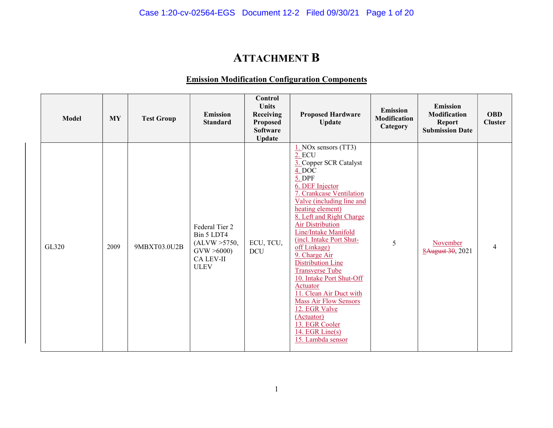# ATTACHMENT B

#### Emission Modification Configuration Components

| <b>Model</b> | <b>MY</b> | <b>Test Group</b> | Emission<br><b>Standard</b>                                                                    | Control<br><b>Units</b><br>Receiving<br><b>Proposed</b><br><b>Software</b><br><b>Update</b> | <b>Proposed Hardware</b><br><b>Update</b>                                                                                                                                                                                                                                                                                                                                                                                                                                                                                                                                 | <b>Emission</b><br>Modification<br>Category | <b>Emission</b><br>Modification<br><b>Report</b><br><b>Submission Date</b> | <b>OBD</b><br><b>Cluster</b> |
|--------------|-----------|-------------------|------------------------------------------------------------------------------------------------|---------------------------------------------------------------------------------------------|---------------------------------------------------------------------------------------------------------------------------------------------------------------------------------------------------------------------------------------------------------------------------------------------------------------------------------------------------------------------------------------------------------------------------------------------------------------------------------------------------------------------------------------------------------------------------|---------------------------------------------|----------------------------------------------------------------------------|------------------------------|
| GL320        | 2009      | 9MBXT03.0U2B      | Federal Tier 2<br>Bin 5 LDT4<br>(ALVW > 5750,<br>GVW > 6000<br><b>CA LEV-II</b><br><b>ULEV</b> | ECU, TCU,<br><b>DCU</b>                                                                     | $1.$ NOx sensors (TT3)<br>2. ECU<br>3. Copper SCR Catalyst<br>$4.$ DOC<br>$5.$ DPF<br>6. DEF Injector<br>7. Crankcase Ventilation<br>Valve (including line and<br>heating element)<br>8. Left and Right Charge<br><b>Air Distribution</b><br>Line/Intake Manifold<br>(incl. Intake Port Shut-<br>off Linkage)<br>9. Charge Air<br>Distribution Line<br><b>Transverse Tube</b><br>10. Intake Port Shut-Off<br>Actuator<br>11. Clean Air Duct with<br><b>Mass Air Flow Sensors</b><br>12. EGR Valve<br>(Actuator)<br>13. EGR Cooler<br>14. EGR Line(s)<br>15. Lambda sensor | 5                                           | November<br>8August 30, 2021                                               | 4                            |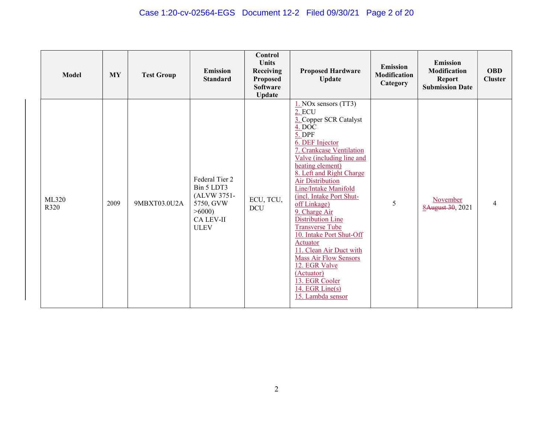### Case 1:20-cv-02564-EGS Document 12-2 Filed 09/30/21 Page 2 of 20

| <b>Model</b>  | <b>MY</b> | <b>Test Group</b> | <b>Emission</b><br><b>Standard</b>                                                                   | <b>Control</b><br><b>Units</b><br>Receiving<br><b>Proposed</b><br><b>Software</b><br><b>Update</b> | <b>Proposed Hardware</b><br><b>Update</b>                                                                                                                                                                                                                                                                                                                                                                                                                                                                                                                                    | <b>Emission</b><br><b>Modification</b><br>Category | <b>Emission</b><br><b>Modification</b><br><b>Report</b><br><b>Submission Date</b> | <b>OBD</b><br><b>Cluster</b> |
|---------------|-----------|-------------------|------------------------------------------------------------------------------------------------------|----------------------------------------------------------------------------------------------------|------------------------------------------------------------------------------------------------------------------------------------------------------------------------------------------------------------------------------------------------------------------------------------------------------------------------------------------------------------------------------------------------------------------------------------------------------------------------------------------------------------------------------------------------------------------------------|----------------------------------------------------|-----------------------------------------------------------------------------------|------------------------------|
| ML320<br>R320 | 2009      | 9MBXT03.0U2A      | Federal Tier 2<br>Bin 5 LDT3<br>(ALVW 3751-<br>5750, GVW<br>>6000<br><b>CA LEV-II</b><br><b>ULEV</b> | ECU, TCU,<br>DCU                                                                                   | $1.$ NOx sensors (TT3)<br>2. ECU<br>3. Copper SCR Catalyst<br>4. DOC<br>5. DPF<br>6. DEF Injector<br>7. Crankcase Ventilation<br>Valve (including line and<br>heating element)<br>8. Left and Right Charge<br><b>Air Distribution</b><br>Line/Intake Manifold<br>(incl. Intake Port Shut-<br>off Linkage)<br>9. Charge Air<br><b>Distribution Line</b><br><b>Transverse Tube</b><br>10. Intake Port Shut-Off<br>Actuator<br>11. Clean Air Duct with<br><b>Mass Air Flow Sensors</b><br>12. EGR Valve<br>(Actuator)<br>13. EGR Cooler<br>14. EGR Line(s)<br>15. Lambda sensor | 5                                                  | November<br>8August 30, 2021                                                      | 4                            |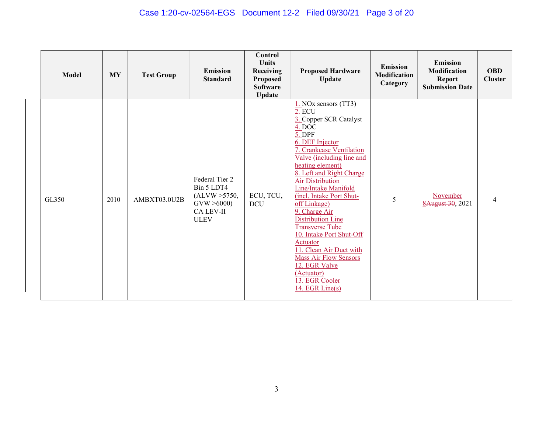# Case 1:20-cv-02564-EGS Document 12-2 Filed 09/30/21 Page 3 of 20

| <b>Model</b> | <b>MY</b> | <b>Test Group</b> | <b>Emission</b><br><b>Standard</b>                                                             | <b>Control</b><br><b>Units</b><br>Receiving<br><b>Proposed</b><br><b>Software</b><br><b>Update</b> | <b>Proposed Hardware</b><br><b>Update</b>                                                                                                                                                                                                                                                                                                                                                                                                                                                                                                                 | <b>Emission</b><br><b>Modification</b><br>Category | <b>Emission</b><br><b>Modification</b><br><b>Report</b><br><b>Submission Date</b> | <b>OBD</b><br><b>Cluster</b> |
|--------------|-----------|-------------------|------------------------------------------------------------------------------------------------|----------------------------------------------------------------------------------------------------|-----------------------------------------------------------------------------------------------------------------------------------------------------------------------------------------------------------------------------------------------------------------------------------------------------------------------------------------------------------------------------------------------------------------------------------------------------------------------------------------------------------------------------------------------------------|----------------------------------------------------|-----------------------------------------------------------------------------------|------------------------------|
| GL350        | 2010      | AMBXT03.0U2B      | Federal Tier 2<br>Bin 5 LDT4<br>(ALVW > 5750,<br>GVW > 6000<br><b>CA LEV-II</b><br><b>ULEV</b> | ECU, TCU,<br><b>DCU</b>                                                                            | $1.$ NOx sensors (TT3)<br>2. ECU<br>3. Copper SCR Catalyst<br>4. DOC<br>$5.$ DPF<br>6. DEF Injector<br>7. Crankcase Ventilation<br>Valve (including line and<br>heating element)<br>8. Left and Right Charge<br><b>Air Distribution</b><br>Line/Intake Manifold<br>(incl. Intake Port Shut-<br>off Linkage)<br>9. Charge Air<br><b>Distribution Line</b><br><b>Transverse Tube</b><br>10. Intake Port Shut-Off<br>Actuator<br>11. Clean Air Duct with<br><b>Mass Air Flow Sensors</b><br>12. EGR Valve<br>(Actuator)<br>13. EGR Cooler<br>14. EGR Line(s) | 5                                                  | November<br>8August 30, 2021                                                      | 4                            |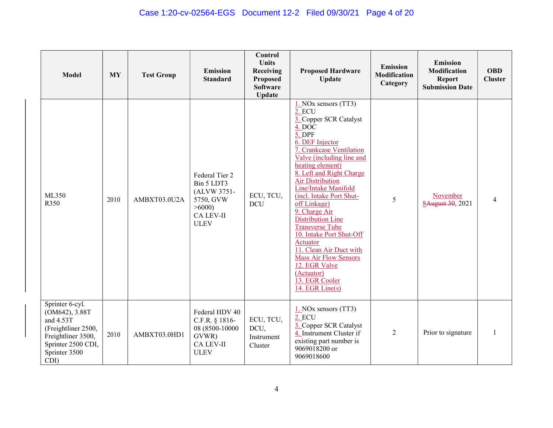### Case 1:20-cv-02564-EGS Document 12-2 Filed 09/30/21 Page 4 of 20

| <b>Model</b>                                                                                                                               | <b>MY</b> | <b>Test Group</b> | <b>Emission</b><br><b>Standard</b>                                                                   | Control<br><b>Units</b><br>Receiving<br>Proposed<br><b>Software</b><br><b>Update</b> | <b>Proposed Hardware</b><br><b>Update</b>                                                                                                                                                                                                                                                                                                                                                                                                                                                                                                                        | <b>Emission</b><br><b>Modification</b><br>Category | <b>Emission</b><br>Modification<br><b>Report</b><br><b>Submission Date</b> | <b>OBD</b><br><b>Cluster</b> |
|--------------------------------------------------------------------------------------------------------------------------------------------|-----------|-------------------|------------------------------------------------------------------------------------------------------|--------------------------------------------------------------------------------------|------------------------------------------------------------------------------------------------------------------------------------------------------------------------------------------------------------------------------------------------------------------------------------------------------------------------------------------------------------------------------------------------------------------------------------------------------------------------------------------------------------------------------------------------------------------|----------------------------------------------------|----------------------------------------------------------------------------|------------------------------|
| ML350<br>R350                                                                                                                              | 2010      | AMBXT03.0U2A      | Federal Tier 2<br>Bin 5 LDT3<br>(ALVW 3751-<br>5750, GVW<br>>6000<br><b>CA LEV-II</b><br><b>ULEV</b> | ECU, TCU,<br><b>DCU</b>                                                              | $1.$ NOx sensors (TT3)<br><b>2. ECU</b><br>3. Copper SCR Catalyst<br>4. DOC<br>$5.$ DPF<br>6. DEF Injector<br>7. Crankcase Ventilation<br>Valve (including line and<br>heating element)<br>8. Left and Right Charge<br><b>Air Distribution</b><br>Line/Intake Manifold<br>(incl. Intake Port Shut-<br>off Linkage)<br>9. Charge Air<br><b>Distribution Line</b><br><b>Transverse Tube</b><br>10. Intake Port Shut-Off<br>Actuator<br>11. Clean Air Duct with<br><b>Mass Air Flow Sensors</b><br>12. EGR Valve<br>(Actuator)<br>13. EGR Cooler<br>14. EGR Line(s) | 5                                                  | November<br>8August 30, 2021                                               | 4                            |
| Sprinter 6-cyl.<br>(OM642), 3.88T<br>and 4.53T<br>(Freightliner 2500,<br>Freightliner 3500,<br>Sprinter 2500 CDI,<br>Sprinter 3500<br>CDI) | 2010      | AMBXT03.0HD1      | Federal HDV 40<br>C.F.R. § 1816-<br>08 (8500-10000<br>GVWR)<br>CA LEV-II<br><b>ULEV</b>              | ECU, TCU,<br>DCU,<br>Instrument<br>Cluster                                           | $1.$ NOx sensors (TT3)<br>2. ECU<br>3. Copper SCR Catalyst<br>4. Instrument Cluster if<br>existing part number is<br>9069018200 or<br>9069018600                                                                                                                                                                                                                                                                                                                                                                                                                 | $\overline{2}$                                     | Prior to signature                                                         |                              |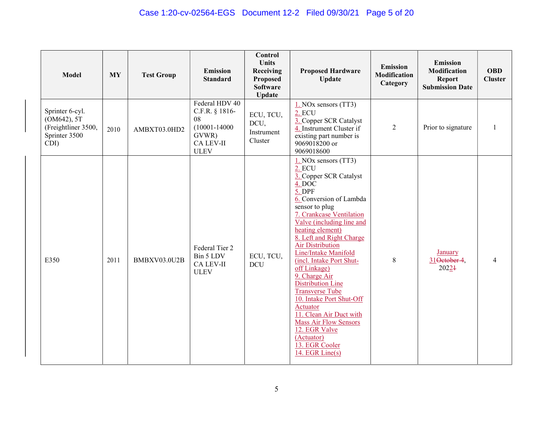| <b>Model</b>                                                                   | <b>MY</b> | <b>Test Group</b> | <b>Emission</b><br><b>Standard</b>                                                               | Control<br><b>Units</b><br>Receiving<br><b>Proposed</b><br><b>Software</b><br><b>Update</b> | <b>Proposed Hardware</b><br>Update                                                                                                                                                                                                                                                                                                                                                                                                                                                                                                                                                             | <b>Emission</b><br>Modification<br>Category | <b>Emission</b><br>Modification<br><b>Report</b><br><b>Submission Date</b> | <b>OBD</b><br><b>Cluster</b> |
|--------------------------------------------------------------------------------|-----------|-------------------|--------------------------------------------------------------------------------------------------|---------------------------------------------------------------------------------------------|------------------------------------------------------------------------------------------------------------------------------------------------------------------------------------------------------------------------------------------------------------------------------------------------------------------------------------------------------------------------------------------------------------------------------------------------------------------------------------------------------------------------------------------------------------------------------------------------|---------------------------------------------|----------------------------------------------------------------------------|------------------------------|
| Sprinter 6-cyl.<br>(OM642), 5T<br>(Freightliner 3500,<br>Sprinter 3500<br>CDI) | 2010      | AMBXT03.0HD2      | Federal HDV 40<br>C.F.R. § 1816-<br>08<br>$(10001 - 14000)$<br>GVWR)<br>CA LEV-II<br><b>ULEV</b> | ECU, TCU,<br>DCU,<br>Instrument<br>Cluster                                                  | $1.$ NOx sensors (TT3)<br>2. ECU<br>3. Copper SCR Catalyst<br>4. Instrument Cluster if<br>existing part number is<br>9069018200 or<br>9069018600                                                                                                                                                                                                                                                                                                                                                                                                                                               | $\overline{2}$                              | Prior to signature                                                         |                              |
| E350                                                                           | 2011      | BMBXV03.0U2B      | Federal Tier 2<br>Bin 5 LDV<br><b>CA LEV-II</b><br><b>ULEV</b>                                   | ECU, TCU,<br>DCU                                                                            | $1.$ NOx sensors (TT3)<br>2. ECU<br>3. Copper SCR Catalyst<br>$\overline{4.}$ DOC<br>5. DPF<br>6. Conversion of Lambda<br>sensor to plug<br>7. Crankcase Ventilation<br>Valve (including line and<br>heating element)<br>8. Left and Right Charge<br><b>Air Distribution</b><br>Line/Intake Manifold<br>(incl. Intake Port Shut-<br>off Linkage)<br>9. Charge Air<br><b>Distribution Line</b><br><b>Transverse Tube</b><br>10. Intake Port Shut-Off<br>Actuator<br>11. Clean Air Duct with<br><b>Mass Air Flow Sensors</b><br>12. EGR Valve<br>(Actuator)<br>13. EGR Cooler<br>14. EGR Line(s) | $8\,$                                       | January<br>31Oetober 4,<br>20224                                           |                              |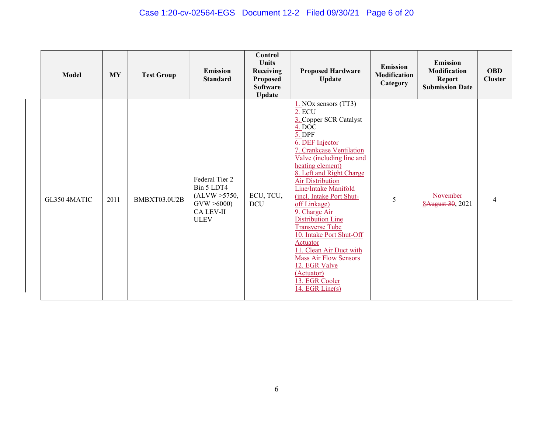# Case 1:20-cv-02564-EGS Document 12-2 Filed 09/30/21 Page 6 of 20

| <b>Model</b> | <b>MY</b> | <b>Test Group</b> | <b>Emission</b><br><b>Standard</b>                                                             | Control<br><b>Units</b><br>Receiving<br><b>Proposed</b><br><b>Software</b><br><b>Update</b> | <b>Proposed Hardware</b><br><b>Update</b>                                                                                                                                                                                                                                                                                                                                                                                                                                                                                                               | <b>Emission</b><br>Modification<br>Category | <b>Emission</b><br>Modification<br><b>Report</b><br><b>Submission Date</b> | <b>OBD</b><br><b>Cluster</b> |
|--------------|-----------|-------------------|------------------------------------------------------------------------------------------------|---------------------------------------------------------------------------------------------|---------------------------------------------------------------------------------------------------------------------------------------------------------------------------------------------------------------------------------------------------------------------------------------------------------------------------------------------------------------------------------------------------------------------------------------------------------------------------------------------------------------------------------------------------------|---------------------------------------------|----------------------------------------------------------------------------|------------------------------|
| GL350 4MATIC | 2011      | BMBXT03.0U2B      | Federal Tier 2<br>Bin 5 LDT4<br>(ALVW > 5750,<br>GVW > 6000<br><b>CA LEV-II</b><br><b>ULEV</b> | ECU, TCU,<br><b>DCU</b>                                                                     | $1.$ NOx sensors (TT3)<br>2. ECU<br>3. Copper SCR Catalyst<br>4. DOC<br>5. DPF<br>6. DEF Injector<br>7. Crankcase Ventilation<br>Valve (including line and<br>heating element)<br>8. Left and Right Charge<br><b>Air Distribution</b><br>Line/Intake Manifold<br>(incl. Intake Port Shut-<br>off Linkage)<br>9. Charge Air<br><b>Distribution Line</b><br><b>Transverse Tube</b><br>10. Intake Port Shut-Off<br>Actuator<br>11. Clean Air Duct with<br><b>Mass Air Flow Sensors</b><br>12. EGR Valve<br>(Actuator)<br>13. EGR Cooler<br>14. EGR Line(s) | 5                                           | November<br>8August 30, 2021                                               | 4                            |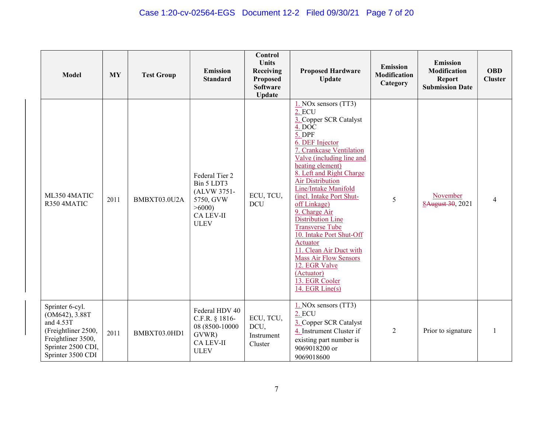### Case 1:20-cv-02564-EGS Document 12-2 Filed 09/30/21 Page 7 of 20

| <b>Model</b>                                                                                                                           | <b>MY</b> | <b>Test Group</b> | <b>Emission</b><br><b>Standard</b>                                                            | Control<br><b>Units</b><br>Receiving<br><b>Proposed</b><br><b>Software</b><br><b>Update</b> | <b>Proposed Hardware</b><br><b>Update</b>                                                                                                                                                                                                                                                                                                                                                                                                                                                                                                          | <b>Emission</b><br><b>Modification</b><br>Category | <b>Emission</b><br>Modification<br><b>Report</b><br><b>Submission Date</b> | <b>OBD</b><br><b>Cluster</b> |
|----------------------------------------------------------------------------------------------------------------------------------------|-----------|-------------------|-----------------------------------------------------------------------------------------------|---------------------------------------------------------------------------------------------|----------------------------------------------------------------------------------------------------------------------------------------------------------------------------------------------------------------------------------------------------------------------------------------------------------------------------------------------------------------------------------------------------------------------------------------------------------------------------------------------------------------------------------------------------|----------------------------------------------------|----------------------------------------------------------------------------|------------------------------|
| ML350 4MATIC<br>R350 4MATIC                                                                                                            | 2011      | BMBXT03.0U2A      | Federal Tier 2<br>Bin 5 LDT3<br>(ALVW 3751-<br>5750, GVW<br>>6000<br>CA LEV-II<br><b>ULEV</b> | ECU, TCU,<br><b>DCU</b>                                                                     | $1.$ NOx sensors (TT3)<br>2. ECU<br>3. Copper SCR Catalyst<br>$4.$ DOC<br>5. DPF<br>6. DEF Injector<br>7. Crankcase Ventilation<br>Valve (including line and<br>heating element)<br>8. Left and Right Charge<br><b>Air Distribution</b><br>Line/Intake Manifold<br>(incl. Intake Port Shut-<br>off Linkage)<br>9. Charge Air<br>Distribution Line<br><b>Transverse Tube</b><br>10. Intake Port Shut-Off<br>Actuator<br>11. Clean Air Duct with<br><b>Mass Air Flow Sensors</b><br>12. EGR Valve<br>(Actuator)<br>13. EGR Cooler<br>14. EGR Line(s) | 5                                                  | November<br>8August 30, 2021                                               | 4                            |
| Sprinter 6-cyl.<br>(OM642), 3.88T<br>and 4.53T<br>(Freightliner 2500,<br>Freightliner 3500,<br>Sprinter 2500 CDI,<br>Sprinter 3500 CDI | 2011      | BMBXT03.0HD1      | Federal HDV 40<br>C.F.R. $§$ 1816-<br>08 (8500-10000<br>GVWR)<br>CA LEV-II<br><b>ULEV</b>     | ECU, TCU,<br>DCU,<br>Instrument<br>Cluster                                                  | $1.$ NOx sensors (TT3)<br>2. ECU<br>3. Copper SCR Catalyst<br>4. Instrument Cluster if<br>existing part number is<br>9069018200 or<br>9069018600                                                                                                                                                                                                                                                                                                                                                                                                   | $\overline{2}$                                     | Prior to signature                                                         |                              |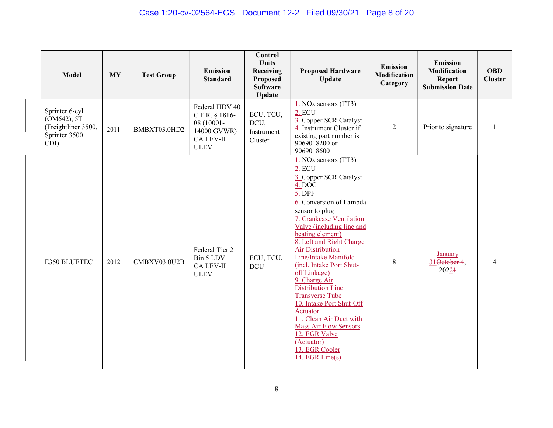| <b>Model</b>                                                                   | <b>MY</b> | <b>Test Group</b> | <b>Emission</b><br><b>Standard</b>                                                               | Control<br><b>Units</b><br>Receiving<br>Proposed<br><b>Software</b><br><b>Update</b> | <b>Proposed Hardware</b><br>Update                                                                                                                                                                                                                                                                                                                                                                                                                                                                                                                                                | <b>Emission</b><br><b>Modification</b><br>Category | <b>Emission</b><br><b>Modification</b><br><b>Report</b><br><b>Submission Date</b> | <b>OBD</b><br><b>Cluster</b> |
|--------------------------------------------------------------------------------|-----------|-------------------|--------------------------------------------------------------------------------------------------|--------------------------------------------------------------------------------------|-----------------------------------------------------------------------------------------------------------------------------------------------------------------------------------------------------------------------------------------------------------------------------------------------------------------------------------------------------------------------------------------------------------------------------------------------------------------------------------------------------------------------------------------------------------------------------------|----------------------------------------------------|-----------------------------------------------------------------------------------|------------------------------|
| Sprinter 6-cyl.<br>(OM642), 5T<br>(Freightliner 3500,<br>Sprinter 3500<br>CDI) | 2011      | BMBXT03.0HD2      | Federal HDV 40<br>C.F.R. § 1816-<br>08 (10001-<br>14000 GVWR)<br><b>CA LEV-II</b><br><b>ULEV</b> | ECU, TCU,<br>DCU,<br>Instrument<br>Cluster                                           | $1.$ NOx sensors (TT3)<br>2. ECU<br>3. Copper SCR Catalyst<br>4. Instrument Cluster if<br>existing part number is<br>9069018200 or<br>9069018600                                                                                                                                                                                                                                                                                                                                                                                                                                  | $\overline{2}$                                     | Prior to signature                                                                |                              |
| E350 BLUETEC                                                                   | 2012      | CMBXV03.0U2B      | Federal Tier 2<br>Bin 5 LDV<br><b>CA LEV-II</b><br><b>ULEV</b>                                   | ECU, TCU,<br><b>DCU</b>                                                              | 1. NOx sensors (TT3)<br>2. ECU<br>3. Copper SCR Catalyst<br>4. DOC<br>$5.$ DPF<br>6. Conversion of Lambda<br>sensor to plug<br>7. Crankcase Ventilation<br>Valve (including line and<br>heating element)<br>8. Left and Right Charge<br><b>Air Distribution</b><br>Line/Intake Manifold<br>(incl. Intake Port Shut-<br>off Linkage)<br>9. Charge Air<br><b>Distribution Line</b><br><b>Transverse Tube</b><br>10. Intake Port Shut-Off<br>Actuator<br>11. Clean Air Duct with<br><b>Mass Air Flow Sensors</b><br>12. EGR Valve<br>(Actuator)<br>13. EGR Cooler<br>14. EGR Line(s) | $\,$ 8 $\,$                                        | January<br>31 October 4,<br>20224                                                 |                              |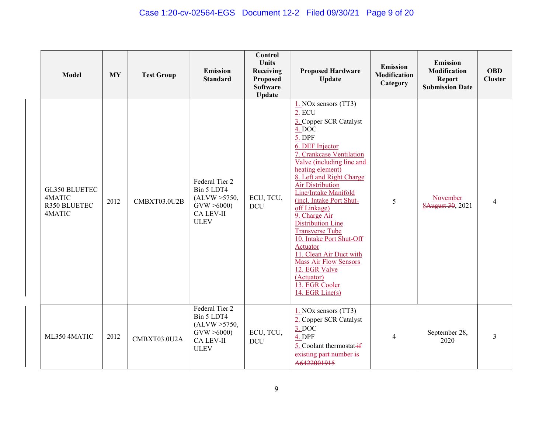# Case 1:20-cv-02564-EGS Document 12-2 Filed 09/30/21 Page 9 of 20

| <b>Model</b>                                      | <b>MY</b> | <b>Test Group</b> | Emission<br><b>Standard</b>                                                                    | Control<br><b>Units</b><br>Receiving<br><b>Proposed</b><br><b>Software</b><br><b>Update</b> | <b>Proposed Hardware</b><br><b>Update</b>                                                                                                                                                                                                                                                                                                                                                                                                                                                                                                        | <b>Emission</b><br>Modification<br>Category | <b>Emission</b><br>Modification<br><b>Report</b><br><b>Submission Date</b> | <b>OBD</b><br><b>Cluster</b> |
|---------------------------------------------------|-----------|-------------------|------------------------------------------------------------------------------------------------|---------------------------------------------------------------------------------------------|--------------------------------------------------------------------------------------------------------------------------------------------------------------------------------------------------------------------------------------------------------------------------------------------------------------------------------------------------------------------------------------------------------------------------------------------------------------------------------------------------------------------------------------------------|---------------------------------------------|----------------------------------------------------------------------------|------------------------------|
| GL350 BLUETEC<br>4MATIC<br>R350 BLUETEC<br>4MATIC | 2012      | CMBXT03.0U2B      | Federal Tier 2<br>Bin 5 LDT4<br>(ALVW > 5750,<br>GVW > 6000<br><b>CA LEV-II</b><br><b>ULEV</b> | ECU, TCU,<br><b>DCU</b>                                                                     | $1.$ NOx sensors (TT3)<br>2. ECU<br>3. Copper SCR Catalyst<br>4. DOC<br>5. DPF<br>6. DEF Injector<br>7. Crankcase Ventilation<br>Valve (including line and<br>heating element)<br>8. Left and Right Charge<br><b>Air Distribution</b><br>Line/Intake Manifold<br>(incl. Intake Port Shut-<br>off Linkage)<br>9. Charge Air<br>Distribution Line<br><b>Transverse Tube</b><br>10. Intake Port Shut-Off<br>Actuator<br>11. Clean Air Duct with<br><b>Mass Air Flow Sensors</b><br>12. EGR Valve<br>(Actuator)<br>13. EGR Cooler<br>14. EGR Line(s) | 5                                           | November<br>8August 30, 2021                                               | 4                            |
| ML350 4MATIC                                      | 2012      | CMBXT03.0U2A      | Federal Tier 2<br>Bin 5 LDT4<br>(ALVW > 5750,<br>GVW > 6000<br><b>CA LEV-II</b><br><b>ULEV</b> | ECU, TCU,<br><b>DCU</b>                                                                     | $1.$ NOx sensors (TT3)<br>2. Copper SCR Catalyst<br>3. DOC<br>4. DPF<br>5. Coolant thermostat-if<br>existing part number is<br>A6422001915                                                                                                                                                                                                                                                                                                                                                                                                       | $\overline{4}$                              | September 28,<br>2020                                                      | 3                            |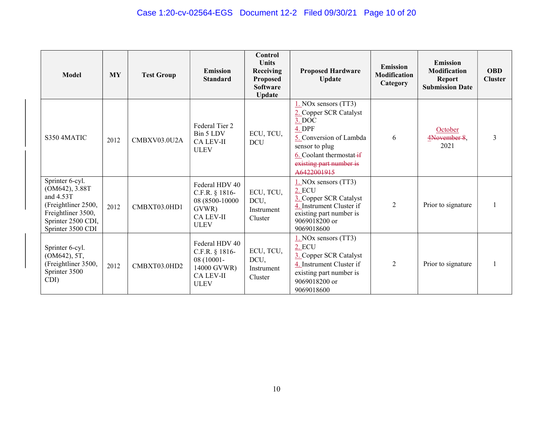| Model                                                                                                                                  | <b>MY</b> | <b>Test Group</b> | <b>Emission</b><br><b>Standard</b>                                                                 | Control<br><b>Units</b><br>Receiving<br><b>Proposed</b><br><b>Software</b><br><b>Update</b> | <b>Proposed Hardware</b><br><b>Update</b>                                                                                                                                               | <b>Emission</b><br><b>Modification</b><br>Category | <b>Emission</b><br><b>Modification</b><br><b>Report</b><br><b>Submission Date</b> | <b>OBD</b><br><b>Cluster</b> |
|----------------------------------------------------------------------------------------------------------------------------------------|-----------|-------------------|----------------------------------------------------------------------------------------------------|---------------------------------------------------------------------------------------------|-----------------------------------------------------------------------------------------------------------------------------------------------------------------------------------------|----------------------------------------------------|-----------------------------------------------------------------------------------|------------------------------|
| S350 4MATIC                                                                                                                            | 2012      | CMBXV03.0U2A      | Federal Tier 2<br>Bin 5 LDV<br><b>CA LEV-II</b><br><b>ULEV</b>                                     | ECU, TCU,<br><b>DCU</b>                                                                     | $1.$ NOx sensors (TT3)<br>2. Copper SCR Catalyst<br>3. DOC<br>4. DPF<br>5. Conversion of Lambda<br>sensor to plug<br>6. Coolant thermostat-if<br>existing part number is<br>A6422001915 | 6                                                  | October<br>4November 8,<br>2021                                                   | 3                            |
| Sprinter 6-cyl.<br>(OM642), 3.88T<br>and 4.53T<br>(Freightliner 2500,<br>Freightliner 3500,<br>Sprinter 2500 CDI,<br>Sprinter 3500 CDI | 2012      | CMBXT03.0HD1      | Federal HDV 40<br>C.F.R. § 1816-<br>08 (8500-10000<br>GVWR)<br><b>CA LEV-II</b><br><b>ULEV</b>     | ECU, TCU,<br>DCU,<br>Instrument<br>Cluster                                                  | 1. NOx sensors (TT3)<br>2. ECU<br>3. Copper SCR Catalyst<br>4. Instrument Cluster if<br>existing part number is<br>9069018200 or<br>9069018600                                          | $\overline{2}$                                     | Prior to signature                                                                |                              |
| Sprinter 6-cyl.<br>(OM642), 5T,<br>(Freightliner 3500,<br>Sprinter 3500<br>CDI)                                                        | 2012      | CMBXT03.0HD2      | Federal HDV 40<br>C.F.R. $§$ 1816-<br>08 (10001-<br>14000 GVWR)<br><b>CA LEV-II</b><br><b>ULEV</b> | ECU, TCU,<br>DCU,<br>Instrument<br>Cluster                                                  | $1.$ NOx sensors $(TT3)$<br>2. ECU<br>3. Copper SCR Catalyst<br>4. Instrument Cluster if<br>existing part number is<br>9069018200 or<br>9069018600                                      | $\overline{2}$                                     | Prior to signature                                                                |                              |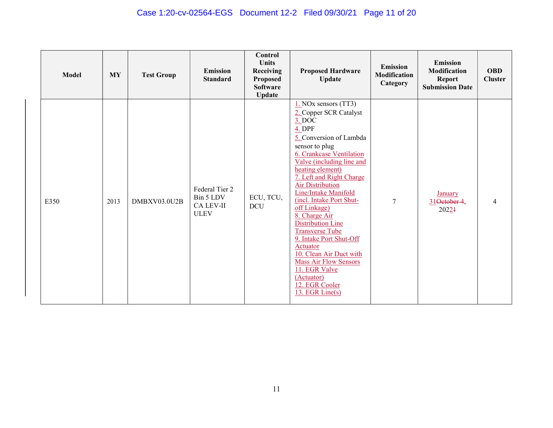# Case 1:20-cv-02564-EGS Document 12-2 Filed 09/30/21 Page 11 of 20

| <b>Model</b> | MY   | <b>Test Group</b> | <b>Emission</b><br><b>Standard</b>                             | <b>Control</b><br><b>Units</b><br>Receiving<br><b>Proposed</b><br><b>Software</b><br><b>Update</b> | <b>Proposed Hardware</b><br><b>Update</b>                                                                                                                                                                                                                                                                                                                                                                                                                                                                                                                                       | <b>Emission</b><br><b>Modification</b><br>Category | <b>Emission</b><br>Modification<br><b>Report</b><br><b>Submission Date</b> | <b>OBD</b><br><b>Cluster</b> |
|--------------|------|-------------------|----------------------------------------------------------------|----------------------------------------------------------------------------------------------------|---------------------------------------------------------------------------------------------------------------------------------------------------------------------------------------------------------------------------------------------------------------------------------------------------------------------------------------------------------------------------------------------------------------------------------------------------------------------------------------------------------------------------------------------------------------------------------|----------------------------------------------------|----------------------------------------------------------------------------|------------------------------|
| E350         | 2013 | DMBXV03.0U2B      | Federal Tier 2<br>Bin 5 LDV<br><b>CA LEV-II</b><br><b>ULEV</b> | ECU, TCU,<br><b>DCU</b>                                                                            | $1.$ NOx sensors (TT3)<br>2. Copper SCR Catalyst<br>$3.$ DOC<br>4. DPF<br>5. Conversion of Lambda<br>sensor to plug<br>6. Crankcase Ventilation<br>Valve (including line and<br>heating element)<br>7. Left and Right Charge<br><b>Air Distribution</b><br>Line/Intake Manifold<br>(incl. Intake Port Shut-<br>off Linkage)<br>8. Charge Air<br><b>Distribution Line</b><br><b>Transverse Tube</b><br>9. Intake Port Shut-Off<br><b>Actuator</b><br>10. Clean Air Duct with<br><b>Mass Air Flow Sensors</b><br>11. EGR Valve<br>(Actuator)<br>12. EGR Cooler<br>13. EGR Line(s) | $\overline{7}$                                     | <b>January</b><br>31Oetober 4,<br>20221                                    | 4                            |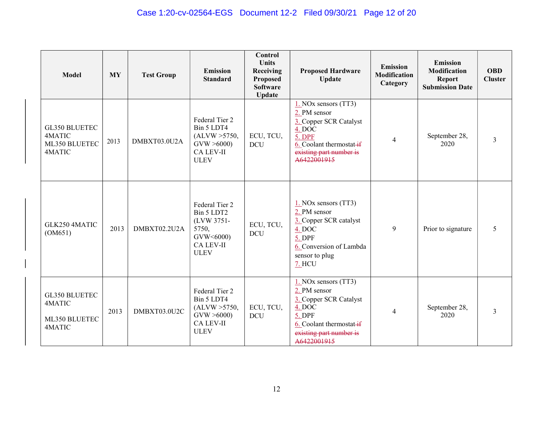| <b>Model</b>                                              | <b>MY</b> | <b>Test Group</b> | <b>Emission</b><br><b>Standard</b>                                                                  | Control<br><b>Units</b><br>Receiving<br>Proposed<br><b>Software</b><br>Update | <b>Proposed Hardware</b><br><b>Update</b>                                                                                                                  | <b>Emission</b><br><b>Modification</b><br>Category | <b>Emission</b><br>Modification<br><b>Report</b><br><b>Submission Date</b> | <b>OBD</b><br><b>Cluster</b> |
|-----------------------------------------------------------|-----------|-------------------|-----------------------------------------------------------------------------------------------------|-------------------------------------------------------------------------------|------------------------------------------------------------------------------------------------------------------------------------------------------------|----------------------------------------------------|----------------------------------------------------------------------------|------------------------------|
| GL350 BLUETEC<br>4MATIC<br>ML350 BLUETEC<br>4MATIC        | 2013      | DMBXT03.0U2A      | Federal Tier 2<br>Bin 5 LDT4<br>(ALVW > 5750,<br>GVW > 6000<br>CA LEV-II<br><b>ULEV</b>             | ECU, TCU,<br><b>DCU</b>                                                       | $1.$ NOx sensors (TT3)<br>2. PM sensor<br>3. Copper SCR Catalyst<br>4. DOC<br>5. DPF<br>6. Coolant thermostat-if<br>existing part number is<br>A6422001915 | $\overline{4}$                                     | September 28,<br>2020                                                      | 3                            |
| GLK250 4MATIC<br>(OM651)                                  | 2013      | DMBXT02.2U2A      | Federal Tier 2<br>Bin 5 LDT2<br>(LVW 3751-<br>5750,<br>GVW<6000)<br><b>CA LEV-II</b><br><b>ULEV</b> | ECU, TCU,<br><b>DCU</b>                                                       | $1.$ NOx sensors (TT3)<br>2. PM sensor<br>3. Copper SCR catalyst<br>$4.$ DOC<br>5. DPF<br>6. Conversion of Lambda<br>sensor to plug<br>7. HCU              | 9                                                  | Prior to signature                                                         | 5                            |
| <b>GL350 BLUETEC</b><br>4MATIC<br>ML350 BLUETEC<br>4MATIC | 2013      | DMBXT03.0U2C      | Federal Tier 2<br>Bin 5 LDT4<br>(ALVW > 5750,<br>GVW > 6000<br><b>CA LEV-II</b><br><b>ULEV</b>      | ECU, TCU,<br><b>DCU</b>                                                       | $1.$ NOx sensors (TT3)<br>2. PM sensor<br>3. Copper SCR Catalyst<br>4. DOC<br>5. DPF<br>6. Coolant thermostat-if<br>existing part number is<br>A6422001915 | $\overline{4}$                                     | September 28,<br>2020                                                      | 3                            |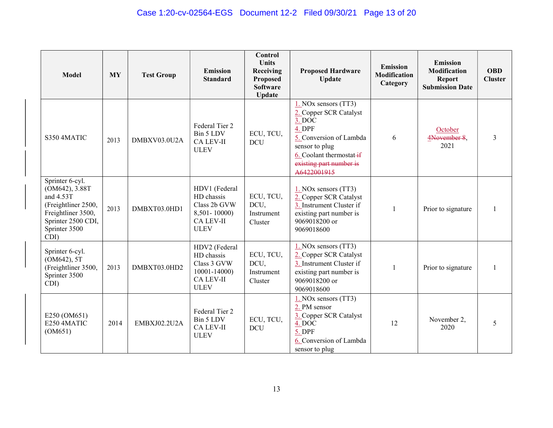| Model                                                                                                                                     | <b>MY</b> | <b>Test Group</b> | <b>Emission</b><br><b>Standard</b>                                                             | <b>Control</b><br><b>Units</b><br>Receiving<br>Proposed<br><b>Software</b><br><b>Update</b> | <b>Proposed Hardware</b><br><b>Update</b>                                                                                                                                             | <b>Emission</b><br><b>Modification</b><br>Category | <b>Emission</b><br>Modification<br><b>Report</b><br><b>Submission Date</b> | <b>OBD</b><br><b>Cluster</b> |
|-------------------------------------------------------------------------------------------------------------------------------------------|-----------|-------------------|------------------------------------------------------------------------------------------------|---------------------------------------------------------------------------------------------|---------------------------------------------------------------------------------------------------------------------------------------------------------------------------------------|----------------------------------------------------|----------------------------------------------------------------------------|------------------------------|
| S350 4MATIC                                                                                                                               | 2013      | DMBXV03.0U2A      | Federal Tier 2<br>Bin 5 LDV<br>CA LEV-II<br><b>ULEV</b>                                        | ECU, TCU,<br><b>DCU</b>                                                                     | 1. NOx sensors (TT3)<br>2. Copper SCR Catalyst<br>3. DOC<br>4. DPF<br>5. Conversion of Lambda<br>sensor to plug<br>6. Coolant thermostat-if<br>existing part number is<br>A6422001915 | 6                                                  | October<br>4November 8,<br>2021                                            | 3                            |
| Sprinter 6-cyl.<br>(OM642), 3.88T<br>and 4.53T<br>(Freightliner 2500,<br>Freightliner 3500,<br>Sprinter 2500 CDI,<br>Sprinter 3500<br>CDI | 2013      | DMBXT03.0HD1      | HDV1 (Federal<br>HD chassis<br>Class 2b GVW<br>8,501-10000)<br><b>CA LEV-II</b><br><b>ULEV</b> | ECU, TCU,<br>DCU,<br>Instrument<br>Cluster                                                  | $1.$ NOx sensors (TT3)<br>2. Copper SCR Catalyst<br>3. Instrument Cluster if<br>existing part number is<br>9069018200 or<br>9069018600                                                |                                                    | Prior to signature                                                         |                              |
| Sprinter 6-cyl.<br>(OM642), 5T<br>(Freightliner 3500,<br>Sprinter 3500<br>CDI)                                                            | 2013      | DMBXT03.0HD2      | HDV2 (Federal<br>HD chassis<br>Class 3 GVW<br>10001-14000)<br><b>CA LEV-II</b><br><b>ULEV</b>  | ECU, TCU,<br>DCU,<br>Instrument<br>Cluster                                                  | $1.$ NOx sensors (TT3)<br>2. Copper SCR Catalyst<br>3. Instrument Cluster if<br>existing part number is<br>9069018200 or<br>9069018600                                                | 1                                                  | Prior to signature                                                         |                              |
| E250 (OM651)<br>E250 4MATIC<br>(OM651)                                                                                                    | 2014      | EMBXJ02.2U2A      | Federal Tier 2<br>Bin 5 LDV<br><b>CA LEV-II</b><br><b>ULEV</b>                                 | ECU, TCU,<br><b>DCU</b>                                                                     | $1.$ NOx sensors (TT3)<br>2. PM sensor<br>3. Copper SCR Catalyst<br>4. DOC<br>5. DPF<br>6. Conversion of Lambda<br>sensor to plug                                                     | 12                                                 | November 2,<br>2020                                                        | 5                            |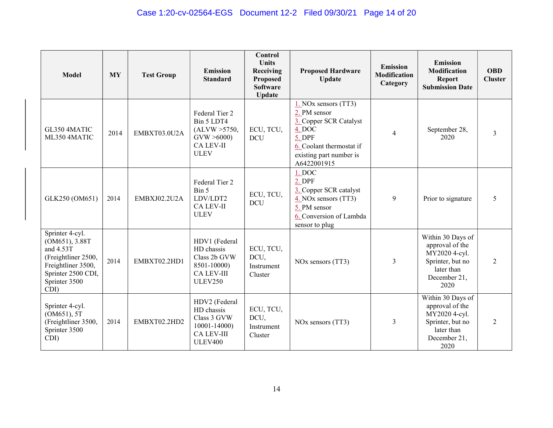| <b>Model</b>                                                                                                                               | <b>MY</b> | <b>Test Group</b> | <b>Emission</b><br><b>Standard</b>                                                                | Control<br><b>Units</b><br>Receiving<br>Proposed<br><b>Software</b><br><b>Update</b> | <b>Proposed Hardware</b><br><b>Update</b>                                                                                                                    | <b>Emission</b><br><b>Modification</b><br>Category | <b>Emission</b><br>Modification<br><b>Report</b><br><b>Submission Date</b>                                      | <b>OBD</b><br><b>Cluster</b> |
|--------------------------------------------------------------------------------------------------------------------------------------------|-----------|-------------------|---------------------------------------------------------------------------------------------------|--------------------------------------------------------------------------------------|--------------------------------------------------------------------------------------------------------------------------------------------------------------|----------------------------------------------------|-----------------------------------------------------------------------------------------------------------------|------------------------------|
| GL350 4MATIC<br>ML350 4MATIC                                                                                                               | 2014      | EMBXT03.0U2A      | Federal Tier 2<br>Bin 5 LDT4<br>(ALVW > 5750,<br>GVW > 6000<br><b>CA LEV-II</b><br><b>ULEV</b>    | ECU, TCU,<br><b>DCU</b>                                                              | $1.$ NOx sensors (TT3)<br>2. PM sensor<br>3. Copper SCR Catalyst<br>$4.$ DOC<br>5. DPF<br>6. Coolant thermostat if<br>existing part number is<br>A6422001915 | $\overline{\mathcal{A}}$                           | September 28,<br>2020                                                                                           | $\overline{3}$               |
| GLK250 (OM651)                                                                                                                             | 2014      | EMBXJ02.2U2A      | Federal Tier 2<br>Bin 5<br>LDV/LDT2<br><b>CA LEV-II</b><br><b>ULEV</b>                            | ECU, TCU,<br><b>DCU</b>                                                              | 1. DOC<br>$2.$ DPF<br>3. Copper SCR catalyst<br>4. NOx sensors (TT3)<br>5. PM sensor<br>6. Conversion of Lambda<br>sensor to plug                            | 9                                                  | Prior to signature                                                                                              | 5                            |
| Sprinter 4-cyl.<br>(OM651), 3.88T<br>and 4.53T<br>(Freightliner 2500,<br>Freightliner 3500,<br>Sprinter 2500 CDI,<br>Sprinter 3500<br>CDI) | 2014      | EMBXT02.2HD1      | HDV1 (Federal<br>HD chassis<br>Class 2b GVW<br>8501-10000)<br><b>CA LEV-III</b><br><b>ULEV250</b> | ECU, TCU,<br>DCU,<br>Instrument<br>Cluster                                           | NO <sub>x</sub> sensors (TT3)                                                                                                                                | 3                                                  | Within 30 Days of<br>approval of the<br>MY2020 4-cyl.<br>Sprinter, but no<br>later than<br>December 21,<br>2020 | $\mathfrak{D}$               |
| Sprinter 4-cyl.<br>(OM651), 5T<br>(Freightliner 3500,<br>Sprinter 3500<br>CDI)                                                             | 2014      | EMBXT02.2HD2      | HDV2 (Federal<br>HD chassis<br>Class 3 GVW<br>10001-14000)<br><b>CA LEV-III</b><br><b>ULEV400</b> | ECU, TCU,<br>DCU,<br>Instrument<br>Cluster                                           | NO <sub>x</sub> sensors (TT3)                                                                                                                                | 3                                                  | Within 30 Days of<br>approval of the<br>MY2020 4-cyl.<br>Sprinter, but no<br>later than<br>December 21,<br>2020 | 2                            |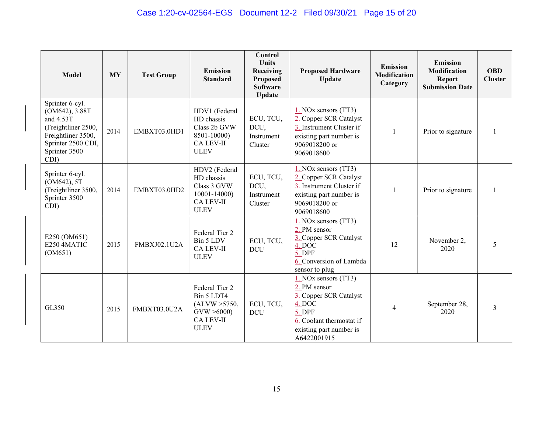| <b>Model</b>                                                                                                                               | <b>MY</b> | <b>Test Group</b> | <b>Emission</b><br><b>Standard</b>                                                             | <b>Control</b><br><b>Units</b><br>Receiving<br>Proposed<br><b>Software</b><br>Update | <b>Proposed Hardware</b><br><b>Update</b>                                                                                                                | <b>Emission</b><br><b>Modification</b><br>Category | <b>Emission</b><br>Modification<br><b>Report</b><br><b>Submission Date</b> | <b>OBD</b><br><b>Cluster</b> |
|--------------------------------------------------------------------------------------------------------------------------------------------|-----------|-------------------|------------------------------------------------------------------------------------------------|--------------------------------------------------------------------------------------|----------------------------------------------------------------------------------------------------------------------------------------------------------|----------------------------------------------------|----------------------------------------------------------------------------|------------------------------|
| Sprinter 6-cyl.<br>(OM642), 3.88T<br>and 4.53T<br>(Freightliner 2500,<br>Freightliner 3500,<br>Sprinter 2500 CDI,<br>Sprinter 3500<br>CDI) | 2014      | EMBXT03.0HD1      | HDV1 (Federal<br>HD chassis<br>Class 2b GVW<br>8501-10000)<br><b>CA LEV-II</b><br><b>ULEV</b>  | ECU, TCU,<br>DCU,<br>Instrument<br>Cluster                                           | $1.$ NOx sensors (TT3)<br>2. Copper SCR Catalyst<br>3. Instrument Cluster if<br>existing part number is<br>9069018200 or<br>9069018600                   | 1                                                  | Prior to signature                                                         |                              |
| Sprinter 6-cyl.<br>(OM642), 5T<br>(Freightliner 3500,<br>Sprinter 3500<br>CDI)                                                             | 2014      | EMBXT03.0HD2      | HDV2 (Federal<br>HD chassis<br>Class 3 GVW<br>10001-14000)<br><b>CA LEV-II</b><br><b>ULEV</b>  | ECU, TCU,<br>DCU,<br>Instrument<br>Cluster                                           | $1.$ NOx sensors (TT3)<br>2. Copper SCR Catalyst<br>3. Instrument Cluster if<br>existing part number is<br>9069018200 or<br>9069018600                   | 1                                                  | Prior to signature                                                         |                              |
| E250 (OM651)<br>E250 4MATIC<br>(OM651)                                                                                                     | 2015      | FMBXJ02.1U2A      | Federal Tier 2<br>Bin 5 LDV<br><b>CA LEV-II</b><br><b>ULEV</b>                                 | ECU, TCU,<br><b>DCU</b>                                                              | $1.$ NOx sensors (TT3)<br>2. PM sensor<br>3. Copper SCR Catalyst<br>4. DOC<br>5. DPF<br>6. Conversion of Lambda<br>sensor to plug                        | 12                                                 | November 2,<br>2020                                                        | 5                            |
| GL350                                                                                                                                      | 2015      | FMBXT03.0U2A      | Federal Tier 2<br>Bin 5 LDT4<br>(ALVW > 5750,<br>GVW > 6000<br><b>CA LEV-II</b><br><b>ULEV</b> | ECU, TCU,<br><b>DCU</b>                                                              | 1. NOx sensors (TT3)<br>2. PM sensor<br>3. Copper SCR Catalyst<br>4. DOC<br>5. DPF<br>6. Coolant thermostat if<br>existing part number is<br>A6422001915 | $\overline{4}$                                     | September 28,<br>2020                                                      | 3                            |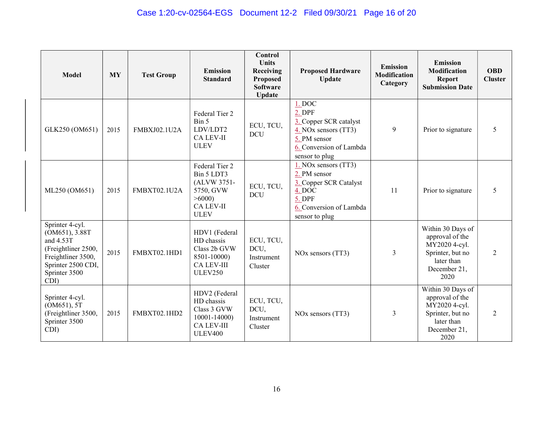| <b>Model</b>                                                                                                                               | <b>MY</b> | <b>Test Group</b>   | <b>Emission</b><br><b>Standard</b>                                                                   | <b>Control</b><br><b>Units</b><br>Receiving<br>Proposed<br><b>Software</b><br>Update | <b>Proposed Hardware</b><br><b>Update</b>                                                                                                                | <b>Emission</b><br><b>Modification</b><br>Category | <b>Emission</b><br>Modification<br><b>Report</b><br><b>Submission Date</b>                                      | <b>OBD</b><br><b>Cluster</b> |
|--------------------------------------------------------------------------------------------------------------------------------------------|-----------|---------------------|------------------------------------------------------------------------------------------------------|--------------------------------------------------------------------------------------|----------------------------------------------------------------------------------------------------------------------------------------------------------|----------------------------------------------------|-----------------------------------------------------------------------------------------------------------------|------------------------------|
| GLK250 (OM651)                                                                                                                             | 2015      | <b>FMBXJ02.1U2A</b> | Federal Tier 2<br>Bin 5<br>LDV/LDT2<br><b>CA LEV-II</b><br><b>ULEV</b>                               | ECU, TCU,<br><b>DCU</b>                                                              | 1. DOC<br>2. DPF<br>3. Copper SCR catalyst<br>$\frac{4.}{1.}$ NO <sub>x</sub> sensors (TT3)<br>5. PM sensor<br>6. Conversion of Lambda<br>sensor to plug | 9                                                  | Prior to signature                                                                                              | 5                            |
| ML250 (OM651)                                                                                                                              | 2015      | FMBXT02.1U2A        | Federal Tier 2<br>Bin 5 LDT3<br>(ALVW 3751-<br>5750, GVW<br>>6000<br>CA LEV-II<br><b>ULEV</b>        | ECU, TCU,<br><b>DCU</b>                                                              | 1. NOx sensors (TT3)<br>2. PM sensor<br>3. Copper SCR Catalyst<br>$\overline{4.}$ DOC<br>5. DPF<br>6. Conversion of Lambda<br>sensor to plug             | 11                                                 | Prior to signature                                                                                              | 5                            |
| Sprinter 4-cyl.<br>(OM651), 3.88T<br>and 4.53T<br>(Freightliner 2500,<br>Freightliner 3500,<br>Sprinter 2500 CDI,<br>Sprinter 3500<br>CDI) | 2015      | FMBXT02.1HD1        | HDV1 (Federal<br>HD chassis<br>Class 2b GVW<br>8501-10000)<br><b>CA LEV-III</b><br><b>ULEV250</b>    | ECU, TCU,<br>DCU,<br>Instrument<br>Cluster                                           | NO <sub>x</sub> sensors (TT3)                                                                                                                            | 3                                                  | Within 30 Days of<br>approval of the<br>MY2020 4-cyl.<br>Sprinter, but no<br>later than<br>December 21,<br>2020 | 2                            |
| Sprinter 4-cyl.<br>(OM651), 5T<br>(Freightliner 3500,<br>Sprinter 3500<br>CDI)                                                             | 2015      | FMBXT02.1HD2        | HDV2 (Federal<br>HD chassis<br>Class 3 GVW<br>$10001 - 14000$<br><b>CA LEV-III</b><br><b>ULEV400</b> | ECU, TCU,<br>DCU,<br>Instrument<br>Cluster                                           | NO <sub>x</sub> sensors (TT3)                                                                                                                            | 3                                                  | Within 30 Days of<br>approval of the<br>MY2020 4-cyl.<br>Sprinter, but no<br>later than<br>December 21,<br>2020 | 2                            |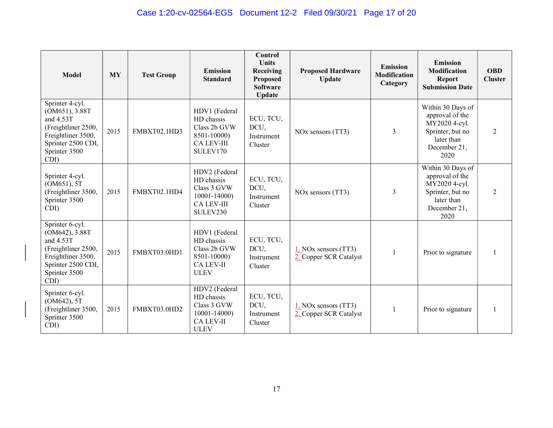| <b>Model</b>                                                                                                                               | <b>MY</b> | <b>Test Group</b> | Emission<br><b>Standard</b>                                                                      | Control<br><b>Units</b><br>Receiving<br>Proposed<br><b>Software</b><br><b>Update</b> | <b>Proposed Hardware</b><br><b>Update</b>      | <b>Emission</b><br><b>Modification</b><br>Category | <b>Emission</b><br>Modification<br><b>Report</b><br><b>Submission Date</b>                                      | <b>OBD</b><br><b>Cluster</b> |
|--------------------------------------------------------------------------------------------------------------------------------------------|-----------|-------------------|--------------------------------------------------------------------------------------------------|--------------------------------------------------------------------------------------|------------------------------------------------|----------------------------------------------------|-----------------------------------------------------------------------------------------------------------------|------------------------------|
| Sprinter 4-cyl.<br>(OM651), 3.88T<br>and 4.53T<br>(Freightliner 2500,<br>Freightliner 3500,<br>Sprinter 2500 CDI,<br>Sprinter 3500<br>CDI) | 2015      | FMBXT02.1HD3      | HDV1 (Federal<br>HD chassis<br>Class 2b GVW<br>8501-10000)<br><b>CA LEV-III</b><br>SULEV170      | ECU, TCU,<br>DCU,<br>Instrument<br>Cluster                                           | NO <sub>x</sub> sensors (TT3)                  | 3                                                  | Within 30 Days of<br>approval of the<br>MY2020 4-cyl.<br>Sprinter, but no<br>later than<br>December 21,<br>2020 | 2                            |
| Sprinter 4-cyl.<br>(OM651), 5T<br>(Freightliner 3500,<br>Sprinter 3500<br>CDI)                                                             | 2015      | FMBXT02.1HD4      | HDV2 (Federal<br>HD chassis<br>Class 3 GVW<br>$10001 - 14000$<br><b>CA LEV-III</b><br>SULEV230   | ECU, TCU,<br>DCU,<br>Instrument<br>Cluster                                           | NO <sub>x</sub> sensors (TT3)                  | 3                                                  | Within 30 Days of<br>approval of the<br>MY2020 4-cyl.<br>Sprinter, but no<br>later than<br>December 21,<br>2020 | 2                            |
| Sprinter 6-cyl.<br>(OM642), 3.88T<br>and 4.53T<br>(Freightliner 2500,<br>Freightliner 3500,<br>Sprinter 2500 CDI,<br>Sprinter 3500<br>CDI) | 2015      | FMBXT03.0HD1      | HDV1 (Federal<br>HD chassis<br>Class 2b GVW<br>8501-10000)<br><b>CA LEV-II</b><br><b>ULEV</b>    | ECU, TCU,<br>DCU,<br>Instrument<br>Cluster                                           | 1. NOx sensors (TT3)<br>2. Copper SCR Catalyst | 1                                                  | Prior to signature                                                                                              |                              |
| Sprinter 6-cyl.<br>(OM642), 5T<br>(Freightliner 3500,<br>Sprinter 3500<br>CDI)                                                             | 2015      | FMBXT03.0HD2      | HDV2 (Federal<br>HD chassis<br>Class 3 GVW<br>$10001 - 14000$<br><b>CA LEV-II</b><br><b>ULEV</b> | ECU, TCU,<br>DCU,<br>Instrument<br>Cluster                                           | 1. NOx sensors (TT3)<br>2. Copper SCR Catalyst |                                                    | Prior to signature                                                                                              |                              |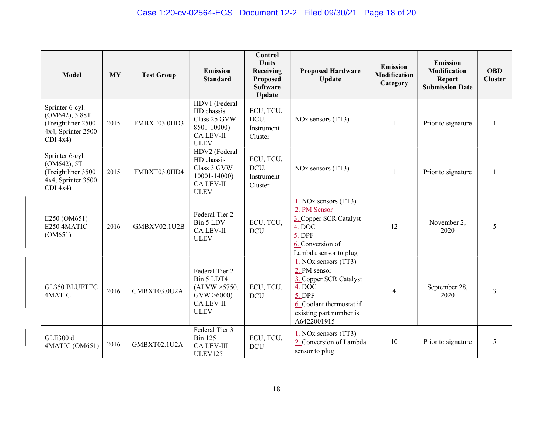| <b>Model</b>                                                                                | <b>MY</b> | <b>Test Group</b>   | <b>Emission</b><br><b>Standard</b>                                                             | Control<br><b>Units</b><br>Receiving<br><b>Proposed</b><br><b>Software</b><br><b>Update</b> | <b>Proposed Hardware</b><br><b>Update</b>                                                                                                                  | <b>Emission</b><br>Modification<br>Category | <b>Emission</b><br>Modification<br><b>Report</b><br><b>Submission Date</b> | <b>OBD</b><br><b>Cluster</b> |
|---------------------------------------------------------------------------------------------|-----------|---------------------|------------------------------------------------------------------------------------------------|---------------------------------------------------------------------------------------------|------------------------------------------------------------------------------------------------------------------------------------------------------------|---------------------------------------------|----------------------------------------------------------------------------|------------------------------|
| Sprinter 6-cyl.<br>(OM642), 3.88T<br>(Freightliner 2500<br>4x4, Sprinter 2500<br>$CDI$ 4x4) | 2015      | FMBXT03.0HD3        | HDV1 (Federal<br>HD chassis<br>Class 2b GVW<br>8501-10000)<br>CA LEV-II<br><b>ULEV</b>         | ECU, TCU,<br>DCU,<br>Instrument<br>Cluster                                                  | NO <sub>x</sub> sensors (TT3)                                                                                                                              | 1                                           | Prior to signature                                                         |                              |
| Sprinter 6-cyl.<br>(OM642), 5T<br>(Freightliner 3500<br>4x4, Sprinter 3500<br>$CDI$ 4x4)    | 2015      | FMBXT03.0HD4        | HDV2 (Federal<br>HD chassis<br>Class 3 GVW<br>$10001 - 14000$<br>CA LEV-II<br><b>ULEV</b>      | ECU, TCU,<br>DCU,<br>Instrument<br>Cluster                                                  | NO <sub>x</sub> sensors (TT3)                                                                                                                              | $\mathbf{1}$                                | Prior to signature                                                         |                              |
| E250 (OM651)<br>E250 4MATIC<br>(OM651)                                                      | 2016      | <b>GMBXV02.1U2B</b> | Federal Tier 2<br>Bin 5 LDV<br>CA LEV-II<br><b>ULEV</b>                                        | ECU, TCU,<br><b>DCU</b>                                                                     | $1.$ NOx sensors (TT3)<br>2. PM Sensor<br>3. Copper SCR Catalyst<br>4. DOC<br>5. DPF<br>6. Conversion of<br>Lambda sensor to plug                          | 12                                          | November 2,<br>2020                                                        | 5                            |
| <b>GL350 BLUETEC</b><br>4MATIC                                                              | 2016      | GMBXT03.0U2A        | Federal Tier 2<br>Bin 5 LDT4<br>(ALVW > 5750,<br>GVW > 6000<br><b>CA LEV-II</b><br><b>ULEV</b> | ECU, TCU,<br>DCU                                                                            | $1.$ NOx sensors (TT3)<br>2. PM sensor<br>3. Copper SCR Catalyst<br>4. DOC<br>5. DPF<br>6. Coolant thermostat if<br>existing part number is<br>A6422001915 | $\overline{4}$                              | September 28,<br>2020                                                      | 3                            |
| <b>GLE300 d</b><br>4MATIC (OM651)                                                           | 2016      | GMBXT02.1U2A        | Federal Tier 3<br><b>Bin 125</b><br><b>CA LEV-III</b><br>ULEV125                               | ECU, TCU,<br><b>DCU</b>                                                                     | $1.$ NOx sensors (TT3)<br>2. Conversion of Lambda<br>sensor to plug                                                                                        | 10                                          | Prior to signature                                                         | 5                            |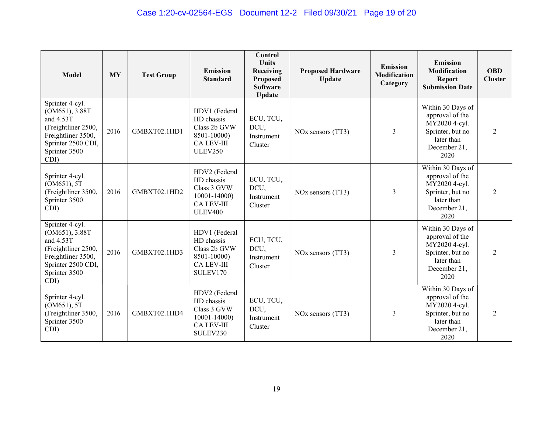| <b>Model</b>                                                                                                                               | <b>MY</b> | <b>Test Group</b> | <b>Emission</b><br><b>Standard</b>                                                                | Control<br><b>Units</b><br>Receiving<br>Proposed<br><b>Software</b><br><b>Update</b> | <b>Proposed Hardware</b><br><b>Update</b> | <b>Emission</b><br><b>Modification</b><br>Category | <b>Emission</b><br>Modification<br><b>Report</b><br><b>Submission Date</b>                                      | <b>OBD</b><br><b>Cluster</b> |
|--------------------------------------------------------------------------------------------------------------------------------------------|-----------|-------------------|---------------------------------------------------------------------------------------------------|--------------------------------------------------------------------------------------|-------------------------------------------|----------------------------------------------------|-----------------------------------------------------------------------------------------------------------------|------------------------------|
| Sprinter 4-cyl.<br>(OM651), 3.88T<br>and 4.53T<br>(Freightliner 2500,<br>Freightliner 3500,<br>Sprinter 2500 CDI,<br>Sprinter 3500<br>CDI) | 2016      | GMBXT02.1HD1      | HDV1 (Federal<br>HD chassis<br>Class 2b GVW<br>8501-10000)<br><b>CA LEV-III</b><br><b>ULEV250</b> | ECU, TCU,<br>DCU,<br>Instrument<br>Cluster                                           | NO <sub>x</sub> sensors (TT3)             | 3                                                  | Within 30 Days of<br>approval of the<br>MY2020 4-cyl.<br>Sprinter, but no<br>later than<br>December 21,<br>2020 | 2                            |
| Sprinter 4-cyl.<br>(OM651), 5T<br>(Freightliner 3500,<br>Sprinter 3500<br>CDI)                                                             | 2016      | GMBXT02.1HD2      | HDV2 (Federal<br>HD chassis<br>Class 3 GVW<br>10001-14000)<br><b>CA LEV-III</b><br><b>ULEV400</b> | ECU, TCU,<br>DCU,<br>Instrument<br>Cluster                                           | NO <sub>x</sub> sensors (TT3)             | 3                                                  | Within 30 Days of<br>approval of the<br>MY2020 4-cyl.<br>Sprinter, but no<br>later than<br>December 21,<br>2020 | 2                            |
| Sprinter 4-cyl.<br>(OM651), 3.88T<br>and 4.53T<br>(Freightliner 2500,<br>Freightliner 3500,<br>Sprinter 2500 CDI,<br>Sprinter 3500<br>CDI) | 2016      | GMBXT02.1HD3      | HDV1 (Federal<br>HD chassis<br>Class 2b GVW<br>8501-10000)<br><b>CA LEV-III</b><br>SULEV170       | ECU, TCU,<br>DCU,<br>Instrument<br>Cluster                                           | NO <sub>x</sub> sensors (TT3)             | 3                                                  | Within 30 Days of<br>approval of the<br>MY2020 4-cyl.<br>Sprinter, but no<br>later than<br>December 21,<br>2020 | 2                            |
| Sprinter 4-cyl.<br>(OM651), 5T<br>(Freightliner 3500,<br>Sprinter 3500<br>CDI)                                                             | 2016      | GMBXT02.1HD4      | HDV2 (Federal<br>HD chassis<br>Class 3 GVW<br>10001-14000)<br><b>CA LEV-III</b><br>SULEV230       | ECU, TCU,<br>DCU,<br>Instrument<br>Cluster                                           | NO <sub>x</sub> sensors (TT3)             | 3                                                  | Within 30 Days of<br>approval of the<br>MY2020 4-cyl.<br>Sprinter, but no<br>later than<br>December 21,<br>2020 | 2                            |